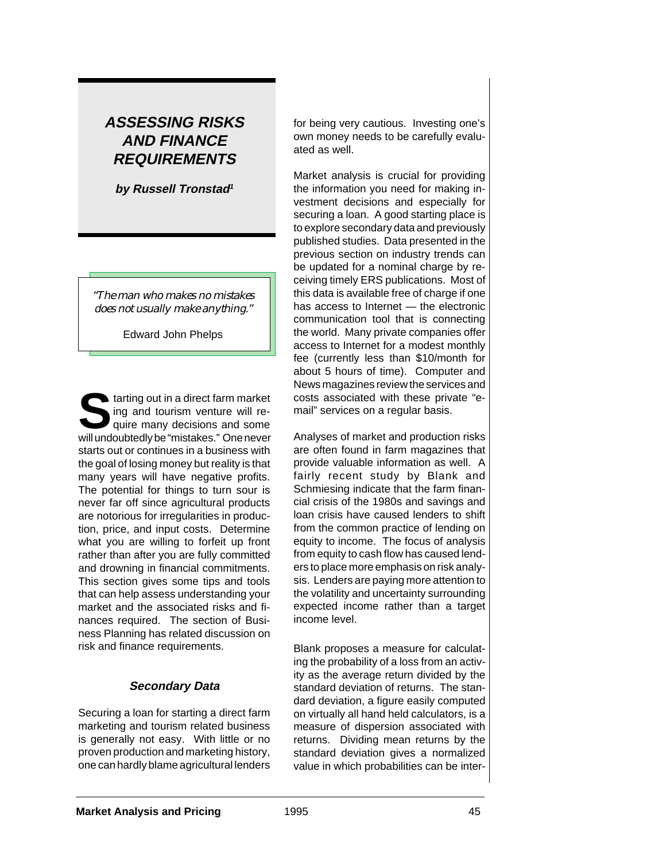# **ASSESSING RISKS AND FINANCE REQUIREMENTS**

**by Russell Tronstad<sup>1</sup>**

*"The man who makes no mistakes does not usually make anything."*

Edward John Phelps

**Solution** tarting out in a direct farm market ing and tourism venture will require many decisions and some will undoubtedly be "mistakes." One never starts out or continues in a business with the goal of losing money but reality is that many years will have negative profits. The potential for things to turn sour is never far off since agricultural products are notorious for irregularities in production, price, and input costs. Determine what you are willing to forfeit up front rather than after you are fully committed and drowning in financial commitments. This section gives some tips and tools that can help assess understanding your market and the associated risks and finances required. The section of Business Planning has related discussion on risk and finance requirements.

## **Secondary Data**

Securing a loan for starting a direct farm marketing and tourism related business is generally not easy. With little or no proven production and marketing history, one can hardly blame agricultural lenders for being very cautious. Investing one's own money needs to be carefully evaluated as well.

Market analysis is crucial for providing the information you need for making investment decisions and especially for securing a loan. A good starting place is to explore secondary data and previously published studies. Data presented in the previous section on industry trends can be updated for a nominal charge by receiving timely ERS publications. Most of this data is available free of charge if one has access to Internet — the electronic communication tool that is connecting the world. Many private companies offer access to Internet for a modest monthly fee (currently less than \$10/month for about 5 hours of time). Computer and News magazines review the services and costs associated with these private "email" services on a regular basis.

Analyses of market and production risks are often found in farm magazines that provide valuable information as well. A fairly recent study by Blank and Schmiesing indicate that the farm financial crisis of the 1980s and savings and loan crisis have caused lenders to shift from the common practice of lending on equity to income. The focus of analysis from equity to cash flow has caused lenders to place more emphasis on risk analysis. Lenders are paying more attention to the volatility and uncertainty surrounding expected income rather than a target income level.

Blank proposes a measure for calculating the probability of a loss from an activity as the average return divided by the standard deviation of returns. The standard deviation, a figure easily computed on virtually all hand held calculators, is a measure of dispersion associated with returns. Dividing mean returns by the standard deviation gives a normalized value in which probabilities can be inter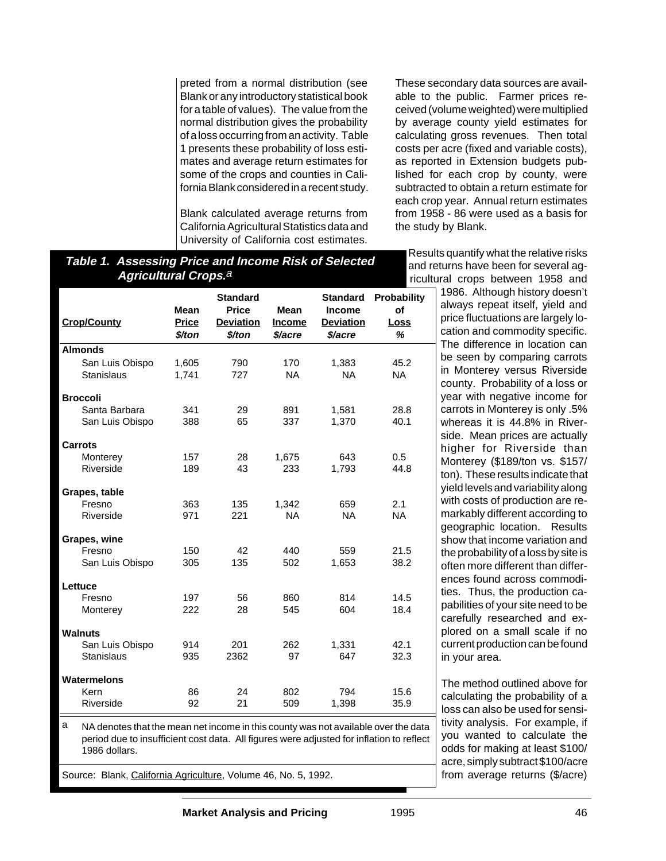preted from a normal distribution (see Blank or any introductory statistical book for a table of values). The value from the normal distribution gives the probability of a loss occurring from an activity. Table 1 presents these probability of loss estimates and average return estimates for some of the crops and counties in California Blank considered in a recent study.

Blank calculated average returns from California Agricultural Statistics data and University of California cost estimates.

These secondary data sources are available to the public. Farmer prices received (volume weighted) were multiplied by average county yield estimates for calculating gross revenues. Then total costs per acre (fixed and variable costs), as reported in Extension budgets published for each crop by county, were subtracted to obtain a return estimate for each crop year. Annual return estimates from 1958 - 86 were used as a basis for the study by Blank.

Results quantify what the relative risks and returns have been for several agricultural crops between 1958 and

## **Table 1. Assessing Price and Income Risk of Selected Agricultural Crops.**<sup>a</sup>

| <b>Crop/County</b>                   | <b>Mean</b><br><b>Price</b><br>\$/ton | <b>Standard</b><br><b>Price</b><br><b>Deviation</b><br>\$/ton | <b>Mean</b><br><b>Income</b><br>\$/acre | <b>Standard</b><br>Income<br><b>Deviation</b><br>\$/acre | <b>Probability</b><br>of<br>Loss<br>℅ |
|--------------------------------------|---------------------------------------|---------------------------------------------------------------|-----------------------------------------|----------------------------------------------------------|---------------------------------------|
| <b>Almonds</b>                       |                                       |                                                               |                                         |                                                          |                                       |
| San Luis Obispo<br><b>Stanislaus</b> | 1,605<br>1.741                        | 790<br>727                                                    | 170<br><b>NA</b>                        | 1,383<br><b>NA</b>                                       | 45.2<br><b>NA</b>                     |
| <b>Broccoli</b>                      |                                       |                                                               |                                         |                                                          |                                       |
| Santa Barbara<br>San Luis Obispo     | 341<br>388                            | 29<br>65                                                      | 891<br>337                              | 1,581<br>1,370                                           | 28.8<br>40.1                          |
| Carrots                              |                                       |                                                               |                                         |                                                          |                                       |
| Monterey<br>Riverside                | 157<br>189                            | 28<br>43                                                      | 1.675<br>233                            | 643<br>1,793                                             | 0.5<br>44.8                           |
| Grapes, table                        |                                       |                                                               |                                         |                                                          |                                       |
| Fresno<br>Riverside                  | 363<br>971                            | 135<br>221                                                    | 1.342<br><b>NA</b>                      | 659<br><b>NA</b>                                         | 2.1<br><b>NA</b>                      |
| Grapes, wine                         |                                       |                                                               |                                         |                                                          |                                       |
| Fresno                               | 150                                   | 42                                                            | 440                                     | 559                                                      | 21.5                                  |
| San Luis Obispo                      | 305                                   | 135                                                           | 502                                     | 1,653                                                    | 38.2                                  |
| Lettuce                              |                                       |                                                               |                                         |                                                          |                                       |
| Fresno                               | 197                                   | 56                                                            | 860                                     | 814                                                      | 14.5                                  |
| Monterey                             | 222                                   | 28                                                            | 545                                     | 604                                                      | 18.4                                  |
| <b>Walnuts</b>                       |                                       |                                                               |                                         |                                                          |                                       |
| San Luis Obispo<br>Stanislaus        | 914<br>935                            | 201<br>2362                                                   | 262<br>97                               | 1,331<br>647                                             | 42.1<br>32.3                          |
| Watermelons                          |                                       |                                                               |                                         |                                                          |                                       |
| Kern<br>Riverside                    | 86<br>92                              | 24<br>21                                                      | 802<br>509                              | 794<br>1,398                                             | 15.6<br>35.9                          |

a NA denotes that the mean net income in this county was not available over the data period due to insufficient cost data. All figures were adjusted for inflation to reflect 1986 dollars.

Source: Blank, California Agriculture, Volume 46, No. 5, 1992.

1986. Although history doesn't always repeat itself, yield and price fluctuations are largely location and commodity specific. The difference in location can be seen by comparing carrots in Monterey versus Riverside county. Probability of a loss or year with negative income for carrots in Monterey is only .5% whereas it is 44.8% in Riverside. Mean prices are actually higher for Riverside than Monterey (\$189/ton vs. \$157/ ton). These results indicate that yield levels and variability along with costs of production are remarkably different according to geographic location. Results show that income variation and the probability of a loss by site is often more different than differences found across commodities. Thus, the production capabilities of your site need to be carefully researched and explored on a small scale if no current production can be found in your area.

The method outlined above for calculating the probability of a loss can also be used for sensitivity analysis. For example, if you wanted to calculate the odds for making at least \$100/ acre, simply subtract \$100/acre from average returns (\$/acre)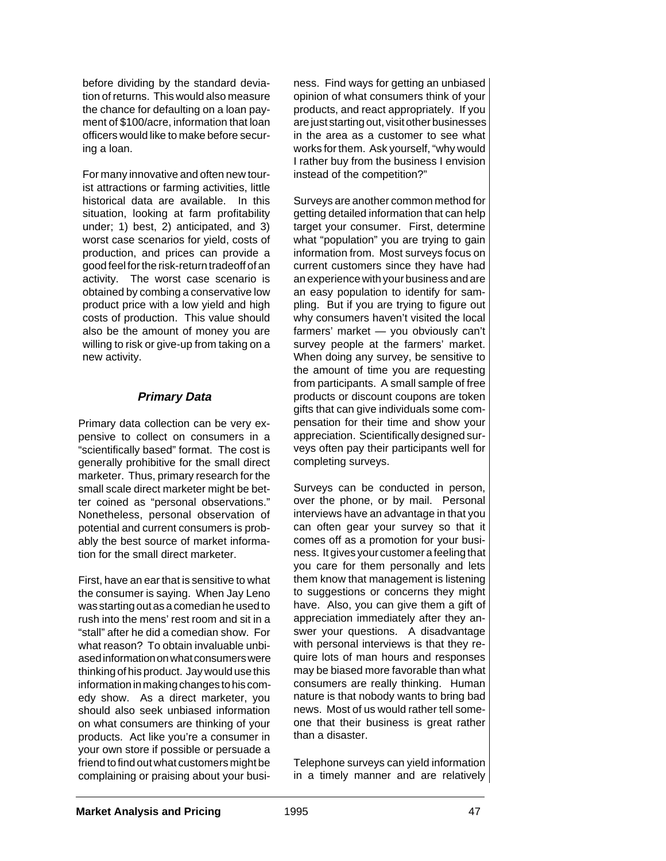before dividing by the standard deviation of returns. This would also measure the chance for defaulting on a loan payment of \$100/acre, information that loan officers would like to make before securing a loan.

For many innovative and often new tourist attractions or farming activities, little historical data are available. In this situation, looking at farm profitability under; 1) best, 2) anticipated, and 3) worst case scenarios for yield, costs of production, and prices can provide a good feel for the risk-return tradeoff of an activity. The worst case scenario is obtained by combing a conservative low product price with a low yield and high costs of production. This value should also be the amount of money you are willing to risk or give-up from taking on a new activity.

## **Primary Data**

Primary data collection can be very expensive to collect on consumers in a "scientifically based" format. The cost is generally prohibitive for the small direct marketer. Thus, primary research for the small scale direct marketer might be better coined as "personal observations." Nonetheless, personal observation of potential and current consumers is probably the best source of market information for the small direct marketer.

First, have an ear that is sensitive to what the consumer is saying. When Jay Leno was starting out as a comedian he used to rush into the mens' rest room and sit in a "stall" after he did a comedian show. For what reason? To obtain invaluable unbiased information on what consumers were thinking of his product. Jay would use this information in making changes to his comedy show. As a direct marketer, you should also seek unbiased information on what consumers are thinking of your products. Act like you're a consumer in your own store if possible or persuade a friend to find out what customers might be complaining or praising about your business. Find ways for getting an unbiased opinion of what consumers think of your products, and react appropriately. If you are just starting out, visit other businesses in the area as a customer to see what works for them. Ask yourself, "why would I rather buy from the business I envision instead of the competition?"

Surveys are another common method for getting detailed information that can help target your consumer. First, determine what "population" you are trying to gain information from. Most surveys focus on current customers since they have had an experience with your business and are an easy population to identify for sampling. But if you are trying to figure out why consumers haven't visited the local farmers' market — you obviously can't survey people at the farmers' market. When doing any survey, be sensitive to the amount of time you are requesting from participants. A small sample of free products or discount coupons are token gifts that can give individuals some compensation for their time and show your appreciation. Scientifically designed surveys often pay their participants well for completing surveys.

Surveys can be conducted in person, over the phone, or by mail. Personal interviews have an advantage in that you can often gear your survey so that it comes off as a promotion for your business. It gives your customer a feeling that you care for them personally and lets them know that management is listening to suggestions or concerns they might have. Also, you can give them a gift of appreciation immediately after they answer your questions. A disadvantage with personal interviews is that they require lots of man hours and responses may be biased more favorable than what consumers are really thinking. Human nature is that nobody wants to bring bad news. Most of us would rather tell someone that their business is great rather than a disaster.

Telephone surveys can yield information in a timely manner and are relatively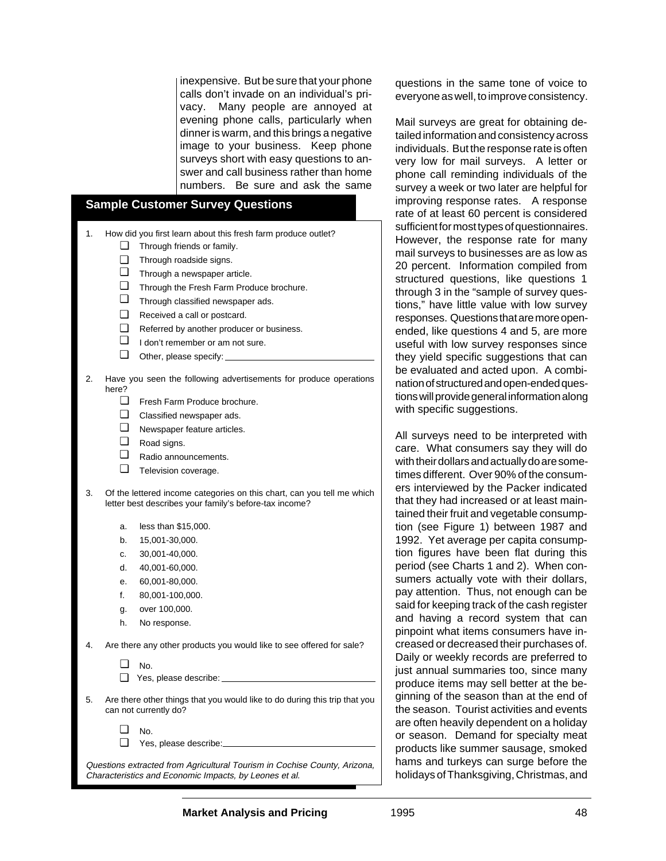inexpensive. But be sure that your phone calls don't invade on an individual's privacy. Many people are annoyed at evening phone calls, particularly when dinner is warm, and this brings a negative image to your business. Keep phone surveys short with easy questions to answer and call business rather than home numbers. Be sure and ask the same

#### **Sample Customer Survey Questions**

- 1. How did you first learn about this fresh farm produce outlet?
	- Through friends or family. ❏
	- Through roadside signs. ❏
	- **Through a newspaper article.**
	- Through the Fresh Farm Produce brochure. ❏
	- Through classified newspaper ads. ❏
	- Received a call or postcard. ❏
	- Referred by another producer or business. ❏
	- I don't remember or am not sure. ❏
	- Other, please specify: ❏
- 2. Have you seen the following advertisements for produce operations here?
	- Fresh Farm Produce brochure. ❏
	- Classified newspaper ads. ❏
	- Newspaper feature articles. ❏
	- Road signs. ❏
	- Radio announcements. ❏
	- Television coverage. ❏
- 3. Of the lettered income categories on this chart, can you tell me which letter best describes your family's before-tax income?
	- a. less than \$15,000.
	- b. 15,001-30,000.
	- c. 30,001-40,000.
	- d. 40,001-60,000.
	- e. 60,001-80,000.
	- f. 80,001-100,000.
	- g. over 100,000.
	- h. No response.
- 4. Are there any other products you would like to see offered for sale?
	- No. ❏
	- Yes, please describe: ❏
- 5. Are there other things that you would like to do during this trip that you can not currently do?

No. ❏

Yes, please describe: ❏

Questions extracted from Agricultural Tourism in Cochise County, Arizona, Characteristics and Economic Impacts, by Leones et al.

questions in the same tone of voice to everyone as well, to improve consistency.

Mail surveys are great for obtaining detailed information and consistency across individuals. But the response rate is often very low for mail surveys. A letter or phone call reminding individuals of the survey a week or two later are helpful for improving response rates. A response rate of at least 60 percent is considered sufficient for most types of questionnaires. However, the response rate for many mail surveys to businesses are as low as 20 percent. Information compiled from structured questions, like questions 1 through 3 in the "sample of survey questions," have little value with low survey responses. Questions that are more openended, like questions 4 and 5, are more useful with low survey responses since they yield specific suggestions that can be evaluated and acted upon. A combination of structured and open-ended questions will provide general information along with specific suggestions.

All surveys need to be interpreted with care. What consumers say they will do with their dollars and actually do are sometimes different. Over 90% of the consumers interviewed by the Packer indicated that they had increased or at least maintained their fruit and vegetable consumption (see Figure 1) between 1987 and 1992. Yet average per capita consumption figures have been flat during this period (see Charts 1 and 2). When consumers actually vote with their dollars, pay attention. Thus, not enough can be said for keeping track of the cash register and having a record system that can pinpoint what items consumers have increased or decreased their purchases of. Daily or weekly records are preferred to just annual summaries too, since many produce items may sell better at the beginning of the season than at the end of the season. Tourist activities and events are often heavily dependent on a holiday or season. Demand for specialty meat products like summer sausage, smoked hams and turkeys can surge before the holidays of Thanksgiving, Christmas, and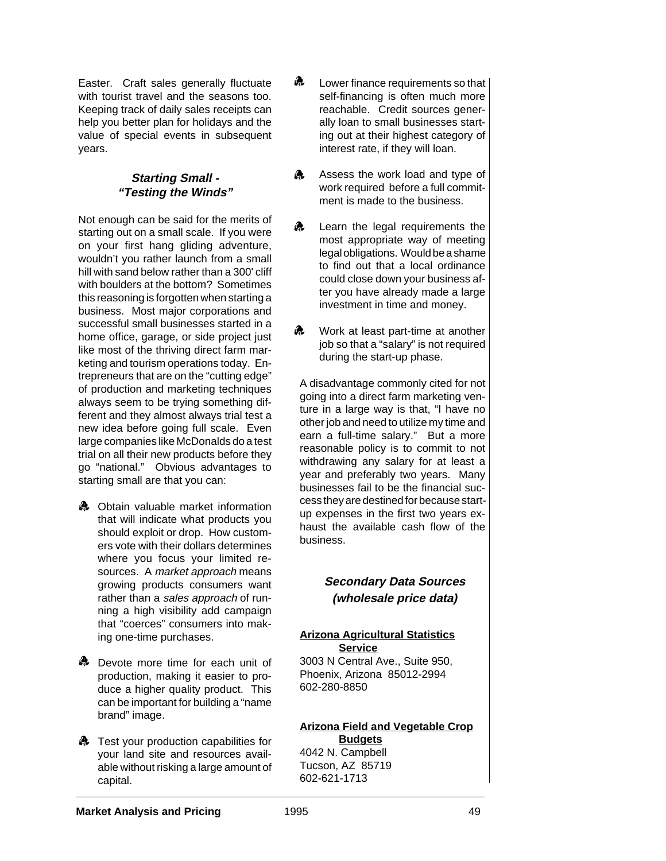Easter. Craft sales generally fluctuate with tourist travel and the seasons too. Keeping track of daily sales receipts can help you better plan for holidays and the value of special events in subsequent years.

### **Starting Small - "Testing the Winds"**

Not enough can be said for the merits of starting out on a small scale. If you were on your first hang gliding adventure, wouldn't you rather launch from a small hill with sand below rather than a 300' cliff with boulders at the bottom? Sometimes this reasoning is forgotten when starting a business. Most major corporations and successful small businesses started in a home office, garage, or side project just like most of the thriving direct farm marketing and tourism operations today. Entrepreneurs that are on the "cutting edge" of production and marketing techniques always seem to be trying something different and they almost always trial test a new idea before going full scale. Even large companies like McDonalds do a test trial on all their new products before they go "national." Obvious advantages to starting small are that you can:

- **A** Obtain valuable market information that will indicate what products you should exploit or drop. How customers vote with their dollars determines where you focus your limited resources. A market approach means growing products consumers want rather than a sales approach of running a high visibility add campaign that "coerces" consumers into making one-time purchases.
- **A** Devote more time for each unit of production, making it easier to produce a higher quality product. This can be important for building a "name brand" image.
- **A** Test your production capabilities for your land site and resources available without risking a large amount of capital.
- r. Lower finance requirements so that self-financing is often much more reachable. Credit sources generally loan to small businesses starting out at their highest category of interest rate, if they will loan.
- $\mathbf{a}$ Assess the work load and type of work required before a full commitment is made to the business.
- s. Learn the legal requirements the most appropriate way of meeting legal obligations. Would be a shame to find out that a local ordinance could close down your business after you have already made a large investment in time and money.
- Work at least part-time at another job so that a "salary" is not required during the start-up phase. s.

A disadvantage commonly cited for not going into a direct farm marketing venture in a large way is that, "I have no other job and need to utilize my time and earn a full-time salary." But a more reasonable policy is to commit to not withdrawing any salary for at least a year and preferably two years. Many businesses fail to be the financial success they are destined for because startup expenses in the first two years exhaust the available cash flow of the business.

## **Secondary Data Sources (wholesale price data)**

### **Arizona Agricultural Statistics Service**

3003 N Central Ave., Suite 950, Phoenix, Arizona 85012-2994 602-280-8850

#### **Arizona Field and Vegetable Crop Budgets**

4042 N. Campbell Tucson, AZ 85719 602-621-1713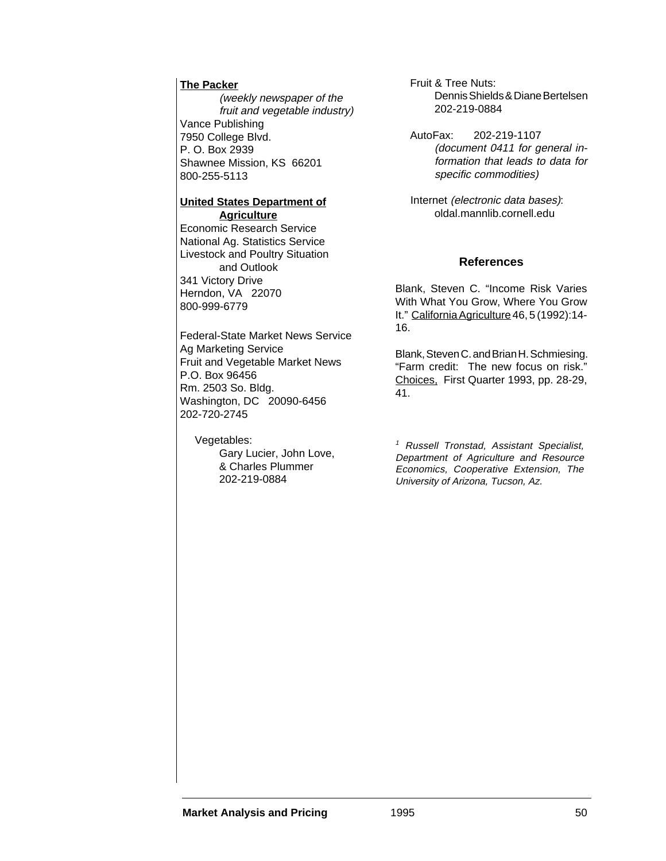#### **The Packer**

(weekly newspaper of the fruit and vegetable industry) Vance Publishing 7950 College Blvd. P. O. Box 2939 Shawnee Mission, KS 66201 800-255-5113

#### **United States Department of Agriculture**

Economic Research Service National Ag. Statistics Service Livestock and Poultry Situation and Outlook 341 Victory Drive Herndon, VA 22070 800-999-6779

Federal-State Market News Service Ag Marketing Service Fruit and Vegetable Market News P.O. Box 96456 Rm. 2503 So. Bldg. Washington, DC 20090-6456 202-720-2745

Vegetables:

Gary Lucier, John Love, & Charles Plummer 202-219-0884

Fruit & Tree Nuts: Dennis Shields & Diane Bertelsen 202-219-0884

AutoFax: 202-219-1107 (document 0411 for general information that leads to data for specific commodities)

 Internet (electronic data bases): oldal.mannlib.cornell.edu

### **References**

Blank, Steven C. "Income Risk Varies With What You Grow, Where You Grow It." California Agriculture 46, 5 (1992):14- 16.

Blank, Steven C. and Brian H. Schmiesing. "Farm credit: The new focus on risk." Choices, First Quarter 1993, pp. 28-29, 41.

<sup>1</sup> Russell Tronstad, Assistant Specialist, Department of Agriculture and Resource Economics, Cooperative Extension, The University of Arizona, Tucson, Az.